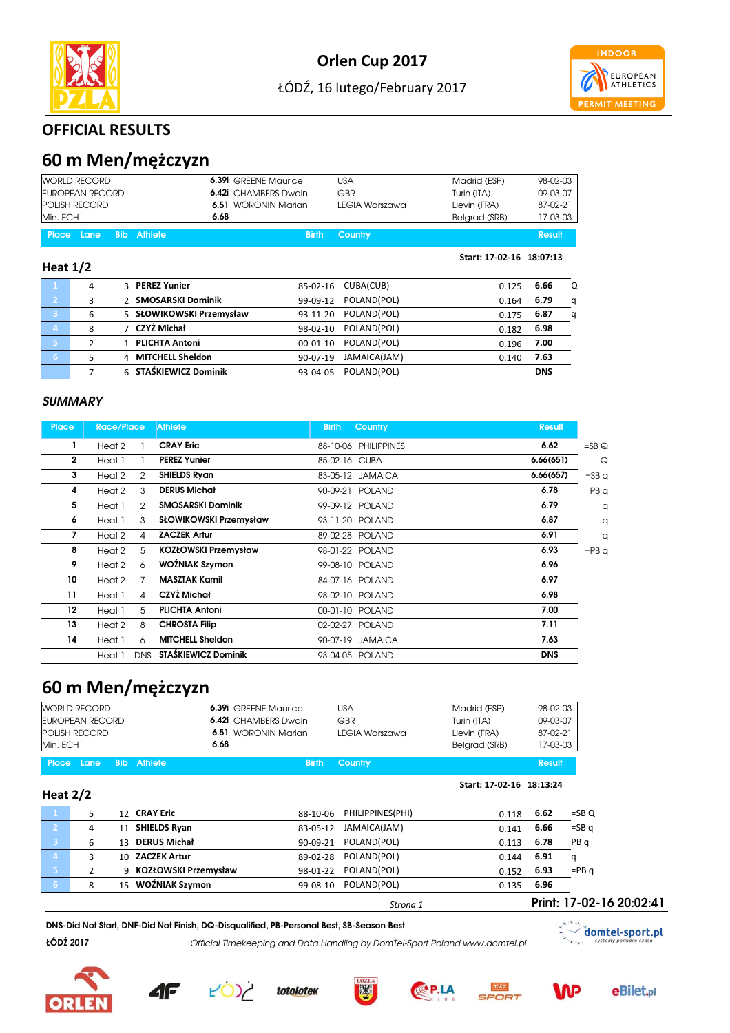



#### OFFICIAL RESULTS

## 60 m Men/mężczyzn

|                | <b>WORLD RECORD</b>  |            |                          | <b>6.39i</b> GREENE Maurice | <b>USA</b>     | Madrid (ESP)             | 98-02-03   |   |
|----------------|----------------------|------------|--------------------------|-----------------------------|----------------|--------------------------|------------|---|
|                | EUROPEAN RECORD      |            |                          | <b>6.42i</b> CHAMBERS Dwain | GBR            | Turin (ITA)              | 09-03-07   |   |
|                | <b>POLISH RECORD</b> |            |                          | 6.51 WORONIN Marian         | LEGIA Warszawa | Lievin (FRA)             | 87-02-21   |   |
| Min. ECH       |                      |            | 6.68                     |                             |                | Belgrad (SRB)            | 17-03-03   |   |
| <b>Place</b>   | Lane                 | <b>Bib</b> | <b>Athlete</b>           | <b>Birth</b>                | Country        |                          | Result     |   |
| Heat $1/2$     |                      |            |                          |                             |                | Start: 17-02-16 18:07:13 |            |   |
| $\blacksquare$ | 4                    |            | 3 PEREZ Yunier           | 85-02-16                    | CUBA(CUB)      | 0.125                    | 6.66       | Q |
| $\overline{2}$ | 3                    |            | 2 SMOSARSKI Dominik      | 99-09-12                    | POLAND(POL)    | 0.164                    | 6.79       | q |
| 3              | 6                    |            | 5 SŁOWIKOWSKI Przemysław | 93-11-20                    | POLAND(POL)    | 0.175                    | 6.87       | q |
| $\overline{4}$ | 8                    |            | 7 CZYŻ Michał            | 98-02-10                    | POLAND(POL)    | 0.182                    | 6.98       |   |
| 5              | 2                    |            | 1 PLICHTA Antoni         | $00-01-10$                  | POLAND(POL)    | 0.196                    | 7.00       |   |
| 6 <sup>1</sup> | 5                    |            | 4 MITCHELL Sheldon       | 90-07-19                    | JAMAICA(JAM)   | 0.140                    | 7.63       |   |
|                | 7                    |            | 6 STAŚKIEWICZ Dominik    | 93-04-05                    | POLAND(POL)    |                          | <b>DNS</b> |   |

#### **SUMMARY**

| <b>Place</b> | <b>Race/Place</b> |            | <b>Athlete</b>              | <b>Birth</b>  | <b>Country</b>       | <b>Result</b> |                 |
|--------------|-------------------|------------|-----------------------------|---------------|----------------------|---------------|-----------------|
|              | Heat 2            |            | <b>CRAY Eric</b>            |               | 88-10-06 PHILIPPINES | 6.62          | $=$ SB $\odot$  |
| $\mathbf{2}$ | Heat 1            |            | <b>PEREZ Yunier</b>         | 85-02-16 CUBA |                      | 6.66(651)     | $\mathsf Q$     |
| 3            | Heat 2            | 2          | <b>SHIELDS Ryan</b>         |               | 83-05-12 JAMAICA     | 6.66(657)     | $=$ SBq         |
| 4            | Heat 2            | 3          | <b>DERUS Michał</b>         |               | 90-09-21 POLAND      | 6.78          | PB q            |
| 5            | Heat 1            | 2          | <b>SMOSARSKI Dominik</b>    |               | 99-09-12 POLAND      | 6.79          | q               |
| 6            | Heat 1            | 3          | SŁOWIKOWSKI Przemysław      |               | 93-11-20 POLAND      | 6.87          | q               |
| 7            | Heat 2            | 4          | <b>ZACZEK Artur</b>         |               | 89-02-28 POLAND      | 6.91          | q               |
| 8            | Heat 2            | 5          | <b>KOZŁOWSKI Przemysław</b> |               | 98-01-22 POLAND      | 6.93          | $=$ PB $\alpha$ |
| 9            | Heat 2            | 6          | WOŹNIAK Szymon              |               | 99-08-10 POLAND      | 6.96          |                 |
| 10           | Heat 2            |            | <b>MASZTAK Kamil</b>        |               | 84-07-16 POLAND      | 6.97          |                 |
| 11           | Heat 1            | 4          | CZYŻ Michał                 |               | 98-02-10 POLAND      | 6.98          |                 |
| 12           | Heat 1            | 5          | <b>PLICHTA Antoni</b>       |               | 00-01-10 POLAND      | 7.00          |                 |
| 13           | Heat 2            | 8          | <b>CHROSTA Filip</b>        |               | 02-02-27 POLAND      | 7.11          |                 |
| 14           | Heat 1            | 6          | <b>MITCHELL Sheldon</b>     |               | 90-07-19 JAMAICA     | 7.63          |                 |
|              | Heat 1            | <b>DNS</b> | <b>STAŚKIEWICZ Dominik</b>  |               | 93-04-05 POLAND      | <b>DNS</b>    |                 |

### 60 m Men/mężczyzn

| <b>WORLD RECORD</b>      | <b>6.39i</b> GREENE Maurice | USA            | Madrid (ESP)  | 98-02-03 |
|--------------------------|-----------------------------|----------------|---------------|----------|
| EUROPEAN RECORD          | <b>6.42i</b> CHAMBERS Dwain | GBR            | Turin (ITA)   | 09-03-07 |
| <b>POLISH RECORD</b>     | <b>6.51 WORONIN Marian</b>  | LEGIA Warszawa | Lievin (FRA)  | 87-02-21 |
| Min. ECH                 | 6.68                        |                | Belgrad (SRB) | 17-03-03 |
| l Place Lane Bib Athlete | <b>Birth</b>                | Country        |               | Result   |

#### Heat 2/2

|   |                        | Strona 1                     |       |      | Print: 17-02-16 20:02:41 |
|---|------------------------|------------------------------|-------|------|--------------------------|
|   | 15 WOŹNIAK Szymon      | 99-08-10 POLAND(POL)         | 0.135 | 6.96 |                          |
|   | 9 KOZŁOWSKI Przemysław | 98-01-22 POLAND(POL)         | 0.152 | 6.93 | $=$ PB $\alpha$          |
|   | 10 ZACZEK Artur        | 89-02-28 POLAND(POL)         | 0.144 | 6.91 | a                        |
| b | 13 DERUS Michał        | POLAND(POL)<br>90-09-21      | 0.113 | 6.78 | PB q                     |
|   | 11 SHIELDS Ryan        | JAMAICA(JAM)<br>83-05-12     | 0.141 | 6.66 | $=$ SBq                  |
|   | 12 CRAY Eric           | PHILIPPINES(PHI)<br>88-10-06 | 0.118 | 6.62 | $=$ SBQ                  |
|   |                        |                              |       |      |                          |

DNS-Did Not Start, DNF-Did Not Finish, DQ-Disqualified, PB-Personal Best, SB-Season Best

ŁÓDŹ 2017 Official Timekeeping and Data Handling by DomTel-Sport Poland www.domtel.pl













 $\mathbf{x}^{\text{max}}$ 

 $T_{\rm{max}}$ 

Start: 17-02-16 18:13:24



domtel-sport.pl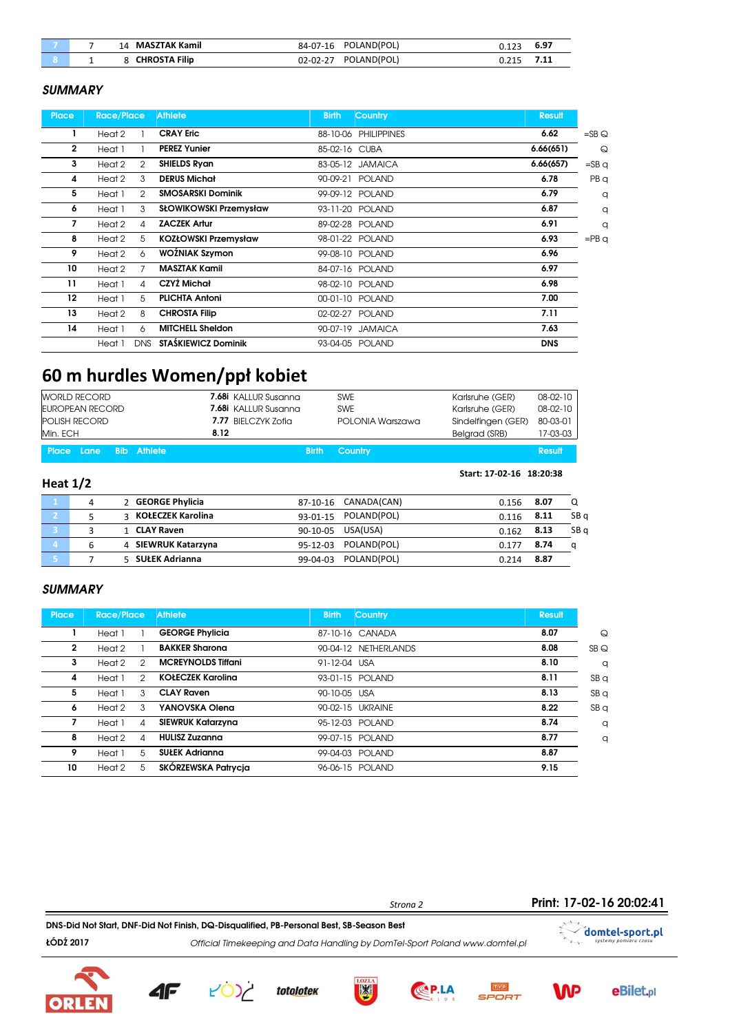|   | MASZTAK Kamil<br>14  | POLAND(POL)<br>84-07-16       | 6.97 |
|---|----------------------|-------------------------------|------|
| - | <b>CHROSTA Filip</b> | POLAND(POL)<br>$02 - 02 - 27$ |      |

#### **SUMMARY**

| <b>Place</b> | <b>Race/Place</b> |                | <b>Athlete</b>              | <b>Birth</b>  | Country              | <b>Result</b> |                   |
|--------------|-------------------|----------------|-----------------------------|---------------|----------------------|---------------|-------------------|
|              | Heat 2            |                | <b>CRAY Eric</b>            |               | 88-10-06 PHILIPPINES | 6.62          | $=$ SB $\bigcirc$ |
| $\mathbf{2}$ | Heat 1            |                | <b>PEREZ Yunier</b>         | 85-02-16 CUBA |                      | 6.66(651)     | $\Omega$          |
| 3            | Heat 2            | $\mathfrak{D}$ | <b>SHIELDS Ryan</b>         |               | 83-05-12 JAMAICA     | 6.66(657)     | $=$ SB $\sigma$   |
| 4            | Heat 2            | 3              | <b>DERUS Michał</b>         |               | 90-09-21 POLAND      | 6.78          | PB q              |
| 5            | Heat 1            | 2              | <b>SMOSARSKI Dominik</b>    |               | 99-09-12 POLAND      | 6.79          | q                 |
| 6            | Heat 1            | 3              | SŁOWIKOWSKI Przemysław      |               | 93-11-20 POLAND      | 6.87          | q                 |
| 7            | Heat 2            | 4              | <b>ZACZEK Artur</b>         |               | 89-02-28 POLAND      | 6.91          | q                 |
| 8            | Heat 2            | 5              | <b>KOZŁOWSKI Przemysław</b> |               | 98-01-22 POLAND      | 6.93          | $=$ PB $q$        |
| 9            | Heat 2            | 6              | WOŹNIAK Szymon              |               | 99-08-10 POLAND      | 6.96          |                   |
| 10           | Heat 2            |                | <b>MASZTAK Kamil</b>        |               | 84-07-16 POLAND      | 6.97          |                   |
| 11           | Heat 1            | 4              | CZYŻ Michał                 |               | 98-02-10 POLAND      | 6.98          |                   |
| 12           | Heat 1            | 5              | <b>PLICHTA Antoni</b>       |               | 00-01-10 POLAND      | 7.00          |                   |
| 13           | Heat 2            | 8              | <b>CHROSTA Filip</b>        |               | 02-02-27 POLAND      | 7.11          |                   |
| 14           | Heat 1            | 6              | <b>MITCHELL Sheldon</b>     |               | 90-07-19 JAMAICA     | 7.63          |                   |
|              | Heat 1            | <b>DNS</b>     | <b>STAŚKIEWICZ Dominik</b>  |               | 93-04-05 POLAND      | <b>DNS</b>    |                   |

# 60 m hurdles Women/ppł kobiet

| Min. ECH       | <b>WORLD RECORD</b><br><b>EUROPEAN RECORD</b><br><b>POLISH RECORD</b> |            | 8.12                | 7.68i KALLUR Susanna<br><b>7.68i</b> KALLUR Susanna<br>7.77 BIELCZYK Zofia | <b>SWE</b><br><b>SWE</b><br>POLONIA Warszawa | Karlsruhe (GER)<br>Karlsruhe (GER)<br>Sindelfingen (GER)<br>Belgrad (SRB) | $08-02-10$<br>$08 - 02 - 10$<br>80-03-01<br>17-03-03 |                 |
|----------------|-----------------------------------------------------------------------|------------|---------------------|----------------------------------------------------------------------------|----------------------------------------------|---------------------------------------------------------------------------|------------------------------------------------------|-----------------|
| <b>Place</b>   | Lane                                                                  | <b>Bib</b> | Athlete             | <b>Birth</b>                                                               | Country                                      |                                                                           | <b>Result</b>                                        |                 |
| Heat $1/2$     |                                                                       |            |                     |                                                                            |                                              | Start: 17-02-16 18:20:38                                                  |                                                      |                 |
| ℸ℩             | 4                                                                     |            | 2 GEORGE Phylicia   | 87-10-16                                                                   | CANADA(CAN)                                  | 0.156                                                                     | 8.07                                                 | Q               |
| $\mathbf{2}$   | 5                                                                     |            | 3 KOŁECZEK Karolina | 93-01-15                                                                   | POLAND(POL)                                  | 0.116                                                                     | 8.11                                                 | SB <sub>q</sub> |
| 3              | 3                                                                     |            | 1 CLAY Raven        | 90-10-05                                                                   | USA(USA)                                     | 0.162                                                                     | 8.13                                                 | SB <sub>q</sub> |
| $\overline{4}$ | 6                                                                     |            | 4 SIEWRUK Katarzyna | 95-12-03                                                                   | POLAND(POL)                                  | 0.177                                                                     | 8.74                                                 | q               |
| 5              | 7                                                                     |            | 5 SUŁEK Adrianna    | 99-04-03                                                                   | POLAND(POL)                                  | 0.214                                                                     | 8.87                                                 |                 |

#### **SUMMARY**

**ORLE** 

| Place        | Race/Place |   | <b>Athlete</b>            | <b>Birth</b> | Country              | Result |                 |
|--------------|------------|---|---------------------------|--------------|----------------------|--------|-----------------|
|              | Heat 1     |   | <b>GEORGE Phylicia</b>    |              | 87-10-16 CANADA      | 8.07   | $\mathsf Q$     |
| $\mathbf{2}$ | Heat 2     |   | <b>BAKKER Sharona</b>     |              | 90-04-12 NETHERLANDS | 8.08   | SBQ             |
| 3            | Heat 2     | 2 | <b>MCREYNOLDS Tiffani</b> | 91-12-04 USA |                      | 8.10   | q               |
| 4            | Heat 1     | 2 | <b>KOŁECZEK Karolina</b>  |              | 93-01-15 POLAND      | 8.11   | SBQ             |
| 5            | Heat 1     | 3 | <b>CLAY Raven</b>         | 90-10-05 USA |                      | 8.13   | SBQ             |
| 6            | Heat 2     | 3 | YANOVSKA Olena            |              | 90-02-15 UKRAINE     | 8.22   | SB <sub>q</sub> |
| 7            | Heat 1     | 4 | SIEWRUK Katarzyna         |              | 95-12-03 POLAND      | 8.74   | q               |
| 8            | Heat 2     | Δ | <b>HULISZ Zuzanna</b>     |              | 99-07-15 POLAND      | 8.77   | q               |
| 9            | Heat 1     | 5 | <b>SUŁEK Adrianna</b>     |              | 99-04-03 POLAND      | 8.87   |                 |
| 10           | Heat 2     | 5 | SKÓRZEWSKA Patrycja       |              | 96-06-15 POLAND      | 9.15   |                 |



toto<u>lote</u>k

4F



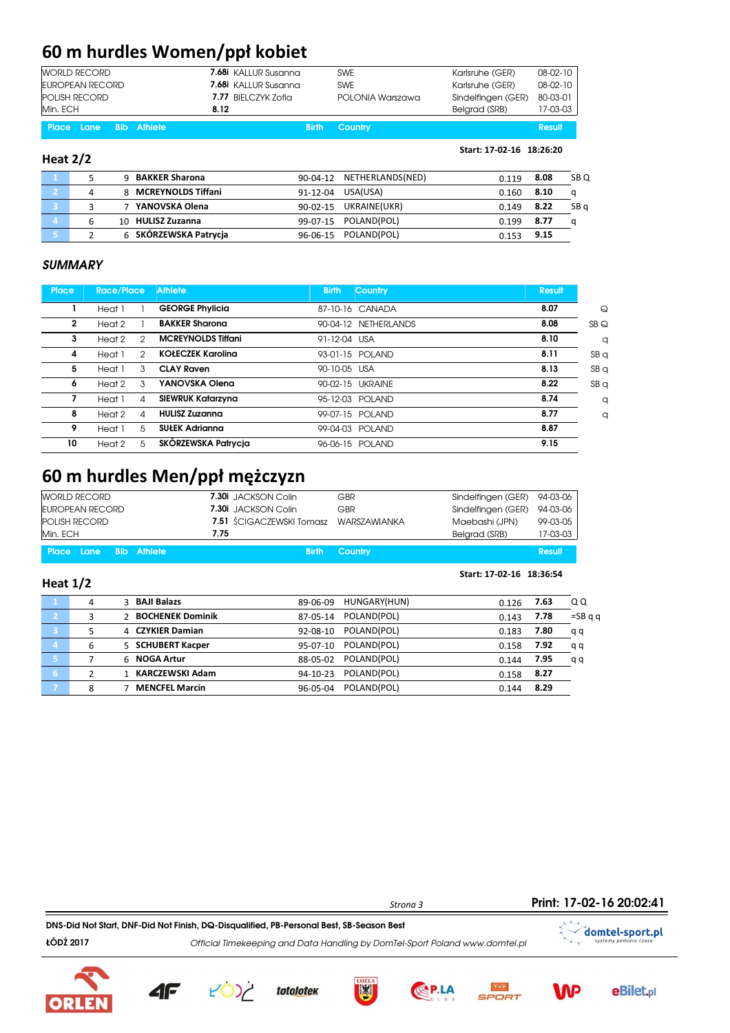# 60 m hurdles Women/ppł kobiet

| Heat $2/2$                       |                             |                  | Start: 17-02-16 18:26:20 |                |
|----------------------------------|-----------------------------|------------------|--------------------------|----------------|
| Place Lane<br><b>Bib Athlete</b> | <b>Birth</b>                | Country          |                          | Result         |
| Min. ECH                         | 8.12                        |                  | Belgrad (SRB)            | 17-03-03       |
| <b>POLISH RECORD</b>             | 7.77 BIELCZYK Zofia         | POLONIA Warszawa | Sindelfingen (GER)       | 80-03-01       |
| EUROPEAN RECORD                  | <b>7.68i</b> KALLUR Susanna | <b>SWE</b>       | Karlsruhe (GER)          | 08-02-10       |
| <b>WORLD RECORD</b>              | 7.68i KALLUR Susanna        | <b>SWE</b>       | Karlsruhe (GER)          | $08 - 02 - 10$ |

|   | 9 BAKKER Sharona      |          | 90-04-12 NETHERLANDS(NED) | 0.119 | 8.08 | SB <sub>Q</sub> |
|---|-----------------------|----------|---------------------------|-------|------|-----------------|
|   | 8 MCREYNOLDS Tiffani  |          | 91-12-04 USA(USA)         | 0.160 | 8.10 | a               |
|   | 7 YANOVSKA Olena      | 90-02-15 | UKRAINE(UKR)              | 0.149 | 8.22 | SB a            |
| ь | 10 HULISZ Zuzanna     |          | 99-07-15 POLAND(POL)      | 0.199 | 8.77 | a               |
|   | 6 SKÓRZEWSKA Patrycja |          | 96-06-15 POLAND(POL)      | በ 153 | 9.15 |                 |

#### **SUMMARY**

| Place | <b>Race/Place</b> |   | <b>Athlete</b>            | <b>Birth</b> | <b>Country</b>     | <b>Result</b> |                 |
|-------|-------------------|---|---------------------------|--------------|--------------------|---------------|-----------------|
|       | Heat 1            |   | <b>GEORGE Phylicia</b>    |              | 87-10-16 CANADA    | 8.07          | $\mathsf Q$     |
| 2     | Heat 2            |   | <b>BAKKER Sharona</b>     | 90-04-12     | <b>NETHERLANDS</b> | 8.08          | SBQ             |
| 3     | Heat 2            | 2 | <b>MCREYNOLDS Tiffani</b> | 91-12-04 USA |                    | 8.10          | q               |
| 4     | Heat 1            | 2 | <b>KOŁECZEK Karolina</b>  |              | 93-01-15 POLAND    | 8.11          | SB <sub>q</sub> |
| 5     | Heat 1            | 3 | <b>CLAY Raven</b>         | 90-10-05 USA |                    | 8.13          | SB <sub>q</sub> |
| 6     | Heat 2            | 3 | YANOVSKA Olena            |              | 90-02-15 UKRAINE   | 8.22          | SB <sub>q</sub> |
| 7     | Heat 1            | 4 | SIEWRUK Katarzyna         |              | 95-12-03 POLAND    | 8.74          | q               |
| 8     | Heat 2            | Δ | <b>HULISZ Zuzanna</b>     |              | 99-07-15 POLAND    | 8.77          | q               |
| 9     | Heat 1            | 5 | <b>SUŁEK Adrianna</b>     | 99-04-03     | <b>POLAND</b>      | 8.87          |                 |
| 10    | Heat 2            | 5 | SKÓRZEWSKA Patrycia       |              | 96-06-15 POLAND    | 9.15          |                 |

### 60 m hurdles Men/ppł mężczyzn

| EUROPEAN RECORD<br><b>POLISH RECORD</b><br>Min. ECH | 7.30i JACKSON Colin<br>GBR<br><b>7.51</b> SCIGACZEWSKI Tomasz WARSZAWIANKA<br>7.75 | Sindelfingen (GER)<br>Maebashi (JPN)<br>Belgrad (SRB) | 94-03-06<br>99-03-05<br>17-03-03 |
|-----------------------------------------------------|------------------------------------------------------------------------------------|-------------------------------------------------------|----------------------------------|
| Place Lane Bib Athlete                              | <b>Birth Country</b>                                                               |                                                       | Result                           |

| Heat $1/2$     |               |                        |                          | Start: 17-02-16 18:36:54 |      |                          |
|----------------|---------------|------------------------|--------------------------|--------------------------|------|--------------------------|
|                | 4             | 3 BAJI Balazs          | HUNGARY(HUN)<br>89-06-09 | 0.126                    | 7.63 | QQ                       |
| -2.            | 3             | 2 BOCHENEK Dominik     | POLAND(POL)<br>87-05-14  | 0.143                    | 7.78 | $=$ SB $\alpha$ $\alpha$ |
| Ι3,            | 5             | 4 CZYKIER Damian       | POLAND(POL)<br>92-08-10  | 0.183                    | 7.80 | q q                      |
| $\overline{4}$ | 6             | 5 SCHUBERT Kacper      | POLAND(POL)<br>95-07-10  | 0.158                    | 7.92 | qq                       |
| 47             |               | 6 NOGA Artur           | POLAND(POL)<br>88-05-02  | 0.144                    | 7.95 | q q                      |
| 67             | $\mathcal{P}$ | <b>KARCZEWSKI Adam</b> | POLAND(POL)<br>94-10-23  | 0.158                    | 8.27 |                          |
|                | 8             | <b>MENCFEL Marcin</b>  | POLAND(POL)<br>96-05-04  | 0.144                    | 8.29 |                          |

Print: 17-02-16 20:02:41Strona 3 DNS-Did Not Start, DNF-Did Not Finish, DQ-Disqualified, PB-Personal Best, SB-Season Best  $\checkmark$  domtel-sport.pl ŁÓDŹ 2017 Official Timekeeping and Data Handling by DomTel-Sport Poland www.domtel.pl systemy po





**AF** 

**totolotek** 







**eBilet**,pl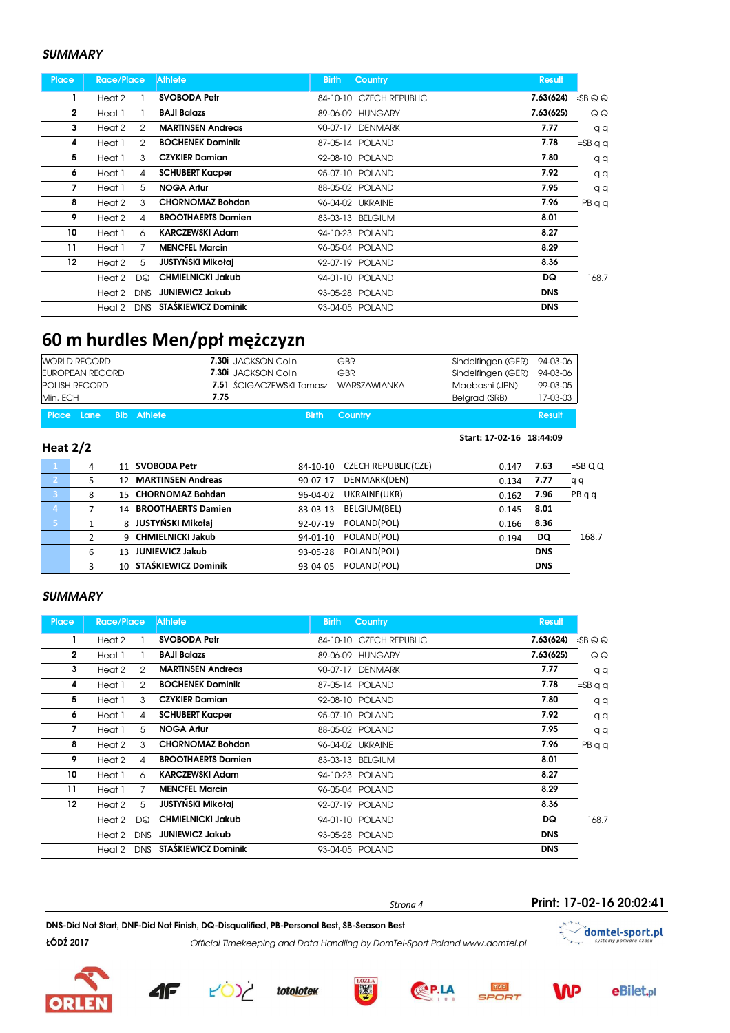#### **SUMMARY**

| <b>Place</b>   | Race/Place |            | <b>Athlete</b>            | <b>Birth</b> | <b>Country</b>          | <b>Result</b> |          |
|----------------|------------|------------|---------------------------|--------------|-------------------------|---------------|----------|
|                | Heat 2     |            | <b>SVOBODA Petr</b>       |              | 84-10-10 CZECH REPUBLIC | 7.63(624)     | $-SBQQ$  |
| $\overline{2}$ | Heat 1     |            | <b>BAJI Balazs</b>        |              | 89-06-09 HUNGARY        | 7.63(625)     | QQ       |
| 3              | Heat 2     | 2          | <b>MARTINSEN Andreas</b>  | 90-07-17     | <b>DENMARK</b>          | 7.77          | qq       |
| 4              | Heat 1     | 2          | <b>BOCHENEK Dominik</b>   |              | 87-05-14 POLAND         | 7.78          | $=$ SBqq |
| 5              | Heat 1     | 3          | <b>CZYKIER Damian</b>     |              | 92-08-10 POLAND         | 7.80          | qq       |
| 6              | Heat 1     | 4          | <b>SCHUBERT Kacper</b>    |              | 95-07-10 POLAND         | 7.92          | qq       |
| 7              | Heat 1     | 5          | <b>NOGA Artur</b>         |              | 88-05-02 POLAND         | 7.95          | qq       |
| 8              | Heat 2     | 3          | <b>CHORNOMAZ Bohdan</b>   |              | 96-04-02 UKRAINE        | 7.96          | PBqq     |
| 9              | Heat 2     | 4          | <b>BROOTHAERTS Damien</b> |              | 83-03-13 BELGIUM        | 8.01          |          |
| 10             | Heat 1     | 6          | <b>KARCZEWSKI Adam</b>    |              | 94-10-23 POLAND         | 8.27          |          |
| 11             | Heat 1     | 7          | <b>MENCFEL Marcin</b>     |              | 96-05-04 POLAND         | 8.29          |          |
| 12             | Heat 2     | 5          | JUSTYŃSKI Mikołaj         |              | 92-07-19 POLAND         | 8.36          |          |
|                | Heat 2     | DQ         | <b>CHMIELNICKI Jakub</b>  |              | 94-01-10 POLAND         | DQ            | 168.7    |
|                | Heat 2     | <b>DNS</b> | <b>JUNIEWICZ Jakub</b>    |              | 93-05-28 POLAND         | <b>DNS</b>    |          |
|                | Heat 2     | <b>DNS</b> | STAŚKIEWICZ Dominik       |              | 93-04-05 POLAND         | <b>DNS</b>    |          |

## 60 m hurdles Men/ppł mężczyzn

|                | <b>WORLD RECORD</b>    |            |                          | 7.30i JACKSON Colin      | GBR                        | Sindelfingen (GER)       | 94-03-06   |          |
|----------------|------------------------|------------|--------------------------|--------------------------|----------------------------|--------------------------|------------|----------|
|                | <b>EUROPEAN RECORD</b> |            |                          | 7.30i JACKSON Colin      | GBR                        | Sindelfingen (GER)       | 94-03-06   |          |
|                | <b>POLISH RECORD</b>   |            |                          | 7.51 ŚCIGACZEWSKI Tomasz | <b>WARSZAWIANKA</b>        | Maebashi (JPN)           | 99-03-05   |          |
| Min. ECH       |                        |            | 7.75                     |                          |                            | Belgrad (SRB)            | 17-03-03   |          |
| Place          | Lane                   | <b>Bib</b> | <b>Athlete</b>           | <b>Birth</b>             | Country                    |                          | Result     |          |
| Heat $2/2$     |                        |            |                          |                          |                            | Start: 17-02-16 18:44:09 |            |          |
| $\blacksquare$ | 4                      | 11         | <b>SVOBODA Petr</b>      | 84-10-10                 | <b>CZECH REPUBLIC(CZE)</b> | 0.147                    | 7.63       | $=$ SBQQ |
| $\mathbf{2}$   | 5                      | 12         | <b>MARTINSEN Andreas</b> | 90-07-17                 | DENMARK(DEN)               | 0.134                    | 7.77       | qq       |
| -3             | 8                      | 15         | <b>CHORNOMAZ Bohdan</b>  | 96-04-02                 | UKRAINE(UKR)               | 0.162                    | 7.96       | PBqq     |
| $\overline{4}$ | 7                      |            | 14 BROOTHAERTS Damien    | 83-03-13                 | BELGIUM(BEL)               | 0.145                    | 8.01       |          |
| 5.             | $\mathbf{1}$           |            | 8 JUSTYŃSKI Mikołai      | 92-07-19                 | POLAND(POL)                | 0.166                    | 8.36       |          |
|                | 2                      |            | 9 CHMIELNICKI Jakub      | 94-01-10                 | POLAND(POL)                | 0.194                    | <b>DQ</b>  | 168.7    |
|                | 6                      |            | 13 JUNIEWICZ Jakub       | 93-05-28                 | POLAND(POL)                |                          | <b>DNS</b> |          |
|                | 3                      | $10^{-7}$  | STAŚKIEWICZ Dominik      | 93-04-05                 | POLAND(POL)                |                          | <b>DNS</b> |          |

#### **SUMMARY**

ЮРІ

| <b>Place</b> | <b>Race/Place</b> |            | <b>Athlete</b>             | <b>Birth</b>   | <b>Country</b>          | <b>Result</b> |                |
|--------------|-------------------|------------|----------------------------|----------------|-------------------------|---------------|----------------|
|              | Heat 2            |            | <b>SVOBODA Petr</b>        |                | 84-10-10 CZECH REPUBLIC | 7.63(624)     | $-SBQQ$        |
| $\mathbf{2}$ | Heat 1            |            | <b>BAJI Balazs</b>         |                | 89-06-09 HUNGARY        | 7.63(625)     | QQ             |
| 3            | Heat 2            | 2          | <b>MARTINSEN Andreas</b>   | $90 - 07 - 17$ | <b>DENMARK</b>          | 7.77          | qq             |
| 4            | Heat 1            | 2          | <b>BOCHENEK Dominik</b>    |                | 87-05-14 POLAND         | 7.78          | $=$ SBqq       |
| 5            | Heat 1            | 3          | <b>CZYKIER Damian</b>      |                | 92-08-10 POLAND         | 7.80          | q <sub>q</sub> |
| 6            | Heat 1            | 4          | <b>SCHUBERT Kacper</b>     |                | 95-07-10 POLAND         | 7.92          | qq             |
| 7            | Heat 1            | 5          | <b>NOGA Artur</b>          |                | 88-05-02 POLAND         | 7.95          | qq             |
| 8            | Heat 2            | 3          | <b>CHORNOMAZ Bohdan</b>    |                | 96-04-02 UKRAINE        | 7.96          | PBqq           |
| 9            | Heat 2            | 4          | <b>BROOTHAERTS Damien</b>  |                | 83-03-13 BELGIUM        | 8.01          |                |
| 10           | Heat 1            | 6          | <b>KARCZEWSKI Adam</b>     |                | 94-10-23 POLAND         | 8.27          |                |
| 11           | Heat 1            | 7          | <b>MENCFEL Marcin</b>      |                | 96-05-04 POLAND         | 8.29          |                |
| 12           | Heat 2            | 5          | <b>JUSTYŃSKI Mikołaj</b>   |                | 92-07-19 POLAND         | 8.36          |                |
|              | Heat 2            | DQ         | <b>CHMIELNICKI Jakub</b>   |                | 94-01-10 POLAND         | DQ            | 168.7          |
|              | Heat 2            | <b>DNS</b> | <b>JUNIEWICZ Jakub</b>     |                | 93-05-28 POLAND         | <b>DNS</b>    |                |
|              | Heat 2            | <b>DNS</b> | <b>STAŚKIEWICZ Dominik</b> |                | 93-04-05 POLAND         | <b>DNS</b>    |                |

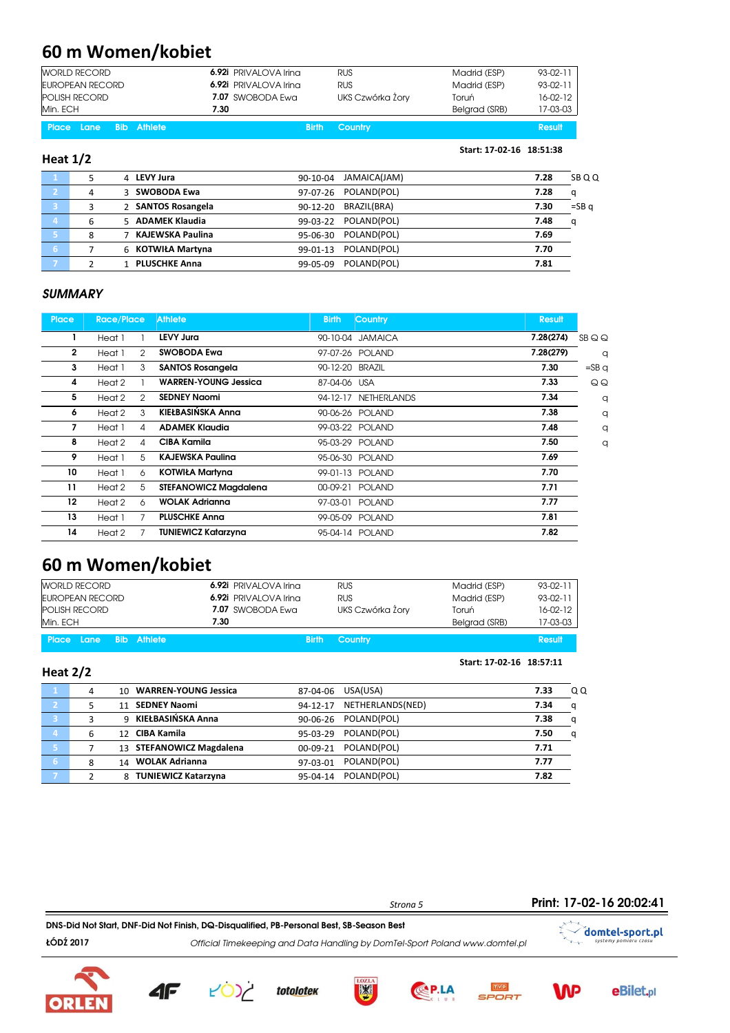### 60 m Women/kobiet

| EUROPEAN RECORD<br><b>POLISH RECORD</b><br>Min. ECH | 6.92i PRIVALOVA Irina<br>7.07 SWOBODA Ewa<br>7.30 | <b>RUS</b><br>UKS Czwórka Żory | Madrid (ESP)<br>Toruń<br>Belgrad (SRB) | 93-02-11<br>$16-02-12$<br>17-03-03 |
|-----------------------------------------------------|---------------------------------------------------|--------------------------------|----------------------------------------|------------------------------------|
| <b>Place Lane Bib Athlete</b>                       | <b>Birth</b>                                      | Country                        |                                        | <b>Result</b>                      |

#### Heat 1/2

1 5 4 LEVY Jura 90-10-04 JAMAICA(JAM) 7.28 SB Q Q 2 4 3 SWOBODA Ewa 97-07-26 POLAND(POL) 7.28 q 3 3 2 SANTOS Rosangela 90-12-20 BRAZIL(BRA) 7.30 =SB q 4 6 5 ADAMEK Klaudia 6 99-03-22 POLAND(POL) 7.48 q 8 7 KAJEWSKA Paulina 95-06-30 POLAND(POL) 7.69 6 7 6 KOTWIŁA Martyna 99-01-13 POLAND(POL) 7.70 2 1 PLUSCHKE Anna 99-05-09 POLAND(POL) 7.81

Start: 17-02-16 18:51:38

Start: 17-02-16 18:57:11

#### **SUMMARY**

| <b>Place</b> | <b>Race/Place</b>        | <b>Athlete</b>               | <b>Birth</b>    | Country          | <b>Result</b> |                 |
|--------------|--------------------------|------------------------------|-----------------|------------------|---------------|-----------------|
|              | Heat 1                   | <b>LEVY Jura</b>             |                 | 90-10-04 JAMAICA | 7.28(274)     | SBQQ            |
| $\mathbf{2}$ | $\mathcal{P}$<br>Heat 1  | <b>SWOBODA Ewa</b>           |                 | 97-07-26 POLAND  | 7.28(279)     | q               |
| 3            | 3<br>Heat 1              | <b>SANTOS Rosangela</b>      | 90-12-20 BRAZIL |                  | 7.30          | $=$ SB $\sigma$ |
| 4            | Heat 2                   | <b>WARREN-YOUNG Jessica</b>  | 87-04-06 USA    |                  | 7.33          | QQ              |
| 5            | Heat 2<br>$\mathfrak{D}$ | <b>SEDNEY Naomi</b>          | 94-12-17        | NETHERLANDS      | 7.34          | q               |
| 6            | Heat 2<br>3              | KIEŁBASIŃSKA Anna            |                 | 90-06-26 POLAND  | 7.38          | q               |
| 7            | Heat 1<br>4              | <b>ADAMEK Klaudia</b>        |                 | 99-03-22 POLAND  | 7.48          | q               |
| 8            | Heat 2<br>4              | CIBA Kamila                  |                 | 95-03-29 POLAND  | 7.50          | $\alpha$        |
| 9            | 5<br>Heat 1              | <b>KAJEWSKA Paulina</b>      |                 | 95-06-30 POLAND  | 7.69          |                 |
| 10           | Heat 1<br>6              | <b>KOTWIŁA Martyna</b>       |                 | 99-01-13 POLAND  | 7.70          |                 |
| 11           | 5<br>Heat 2              | <b>STEFANOWICZ Magdalena</b> |                 | 00-09-21 POLAND  | 7.71          |                 |
| 12           | Heat 2<br>6              | <b>WOLAK Adrianna</b>        |                 | 97-03-01 POLAND  | 7.77          |                 |
| 13           | Heat 1                   | <b>PLUSCHKE Anna</b>         |                 | 99-05-09 POLAND  | 7.81          |                 |
| 14           | Heat 2                   | <b>TUNIEWICZ Katarzyna</b>   |                 | 95-04-14 POLAND  | 7.82          |                 |

### 60 m Women/kobiet

| <b>WORLD RECORD</b>    | 6.92i PRIVALOVA Irina | <b>RUS</b>           | Madrid (ESP)  | $93-02-11$    |
|------------------------|-----------------------|----------------------|---------------|---------------|
| EUROPEAN RECORD        | 6.92i PRIVALOVA Irina | <b>RUS</b>           | Madrid (ESP)  | $93-02-11$    |
| <b>POLISH RECORD</b>   | 7.07 SWOBODA Ewa      | UKS Czwórka Żory     | Toruń         | $16-02-12$    |
| Min. ECH               | 7.30                  |                      | Belgrad (SRB) | 17-03-03      |
| Place Lane Bib Athlete |                       | <b>Birth Country</b> |               | <b>Result</b> |

#### Heat 2/2

|    | 4 | <b>WARREN-YOUNG Jessica</b><br>10 | USA(USA)<br>87-04-06         | 7.33      | Q Q |
|----|---|-----------------------------------|------------------------------|-----------|-----|
|    |   | 11 SEDNEY Naomi                   | NETHERLANDS(NED)<br>94-12-17 | 7.34<br>a |     |
| e. |   | 9 KIEŁBASIŃSKA Anna               | POLAND(POL)<br>90-06-26      | 7.38<br>a |     |
| 4  | 6 | 12 CIBA Kamila                    | POLAND(POL)<br>$95-03-29$    | 7.50<br>a |     |
| 67 |   | 13 STEFANOWICZ Magdalena          | POLAND(POL)<br>$00-09-21$    | 7.71      |     |
| 67 | 8 | <b>WOLAK Adrianna</b><br>14       | POLAND(POL)<br>97-03-01      | 7.77      |     |
|    |   | 8 TUNIEWICZ Katarzyna             | POLAND(POL)<br>95-04-14      | 7.82      |     |
|    |   |                                   |                              |           |     |





4F

totolotek





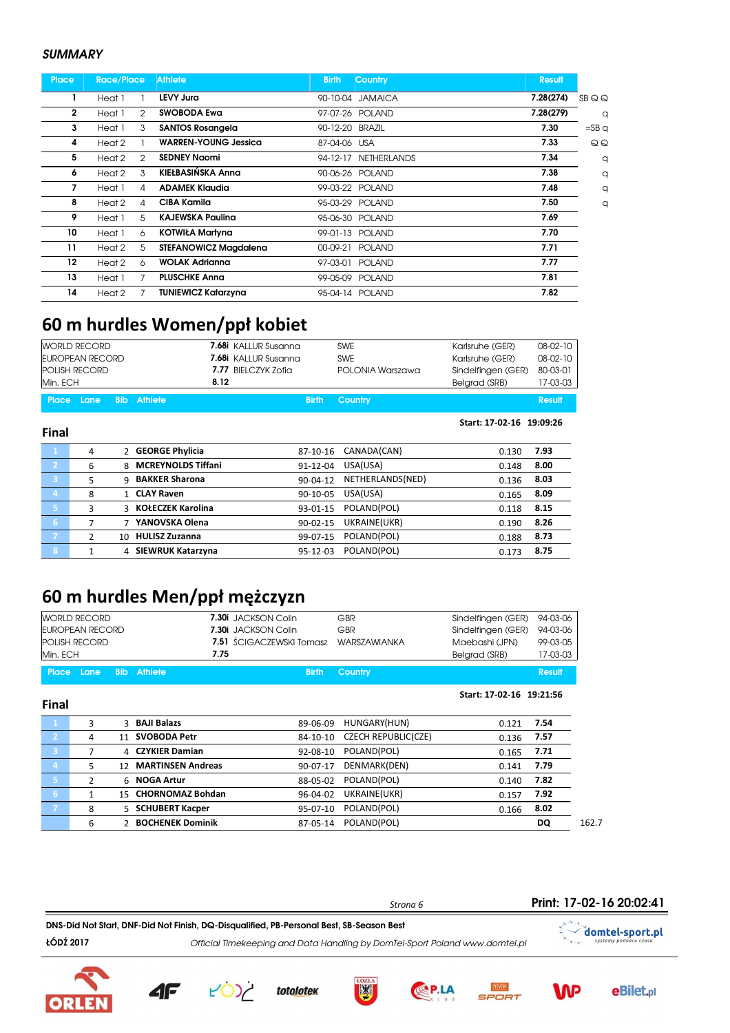#### **SUMMARY**

Final

| <b>Place</b> | <b>Race/Place</b>       | <b>Athlete</b>               | <b>Country</b><br><b>Birth</b> | <b>Result</b> |         |
|--------------|-------------------------|------------------------------|--------------------------------|---------------|---------|
|              | Heat 1                  | LEVY Jura                    | 90-10-04 JAMAICA               | 7.28(274)     | SBQQ    |
| $\mathbf{2}$ | Heat 1<br>2             | <b>SWOBODA Ewa</b>           | 97-07-26 POLAND                | 7.28(279)     | q       |
| 3            | 3<br>Heat 1             | <b>SANTOS Rosangela</b>      | 90-12-20 BRAZIL                | 7.30          | $=$ SBq |
| 4            | Heat 2                  | <b>WARREN-YOUNG Jessica</b>  | 87-04-06 USA                   | 7.33          | QQ      |
| 5            | Heat 2<br>$\mathcal{P}$ | <b>SEDNEY Naomi</b>          | 94-12-17 NETHERLANDS           | 7.34          | q       |
| 6            | Heat 2<br>3             | KIEŁBASIŃSKA Anna            | 90-06-26 POLAND                | 7.38          | q       |
| 7            | Heat 1<br>4             | <b>ADAMEK Klaudia</b>        | 99-03-22 POLAND                | 7.48          | q       |
| 8            | Heat 2<br>4             | CIBA Kamila                  | 95-03-29 POLAND                | 7.50          | q       |
| 9            | 5<br>Heat 1             | <b>KAJEWSKA Paulina</b>      | 95-06-30 POLAND                | 7.69          |         |
| 10           | Heat 1<br>6             | <b>KOTWIŁA Martyna</b>       | 99-01-13 POLAND                | 7.70          |         |
| 11           | 5<br>Heat 2             | <b>STEFANOWICZ Magdalena</b> | <b>POLAND</b><br>00-09-21      | 7.71          |         |
| 12           | Heat 2<br>6             | <b>WOLAK Adrianna</b>        | 97-03-01<br><b>POLAND</b>      | 7.77          |         |
| 13           | Heat 1                  | <b>PLUSCHKE Anna</b>         | 99-05-09 POLAND                | 7.81          |         |
| 14           | Heat 2                  | TUNIEWICZ Katarzyna          | 95-04-14 POLAND                | 7.82          |         |

### 60 m hurdles Women/ppł kobiet

| <b>WORLD RECORD</b>    | <b>7.68i</b> KALLUR Susanna | <b>SWE</b>           | Karlsruhe (GER)    | 08-02-10 |
|------------------------|-----------------------------|----------------------|--------------------|----------|
| EUROPEAN RECORD        | <b>7.68i</b> KALLUR Susanna | <b>SWE</b>           | Karlsruhe (GER)    | 08-02-10 |
| <b>POLISH RECORD</b>   | 7.77 BIELCZYK Zofia         | POLONIA Warszawa     | Sindelfingen (GER) | 80-03-01 |
| Min. ECH               | 8.12                        |                      | Belgrad (SRB)      | 17-03-03 |
| Place Lane Bib Athlete |                             | <b>Birth Country</b> |                    | Result   |

Start: 17-02-16 19:09:26

|                | 4 | 2 GEORGE Phylicia               | CANADA(CAN)<br>87-10-16        | 7.93<br>0.130 |
|----------------|---|---------------------------------|--------------------------------|---------------|
| $\overline{2}$ | 6 | <b>MCREYNOLDS Tiffani</b><br>R. | USA(USA)<br>91-12-04           | 8.00<br>0.148 |
| 3              |   | <b>BAKKER Sharona</b><br>9      | NETHERLANDS(NED)<br>90-04-12   | 8.03<br>0.136 |
| Δ,             | 8 | <b>CLAY Raven</b>               | USA(USA)<br>90-10-05           | 8.09<br>0.165 |
| Γ5,            | 3 | 3 KOŁECZEK Karolina             | POLAND(POL)<br>93-01-15        | 8.15<br>0.118 |
| G              |   | YANOVSKA Olena                  | UKRAINE(UKR)<br>$90 - 02 - 15$ | 8.26<br>0.190 |
|                | 2 | <b>HULISZ Zuzanna</b><br>10     | POLAND(POL)<br>99-07-15        | 8.73<br>0.188 |
| 8              |   | <b>SIEWRUK Katarzyna</b>        | POLAND(POL)<br>95-12-03        | 8.75<br>0.173 |

### 60 m hurdles Men/ppł mężczyzn

|                | <b>WORLD RECORD</b>    |            |                          | 7.30i JACKSON Colin             | GBR                        | Sindelfingen (GER)       | 94-03-06      |
|----------------|------------------------|------------|--------------------------|---------------------------------|----------------------------|--------------------------|---------------|
|                | <b>EUROPEAN RECORD</b> |            |                          | 7.30i JACKSON Colin             | GBR                        | Sindelfingen (GER)       | 94-03-06      |
|                | <b>POLISH RECORD</b>   |            |                          | <b>7.51</b> SCIGACZEWSKI Tomasz | <b>WARSZAWIANKA</b>        | Maebashi (JPN)           | 99-03-05      |
| Min. ECH       |                        |            | 7.75                     |                                 |                            | Belgrad (SRB)            | 17-03-03      |
| <b>Place</b>   | Lane                   | <b>Bib</b> | Athlete                  | <b>Birth</b>                    | <b>Country</b>             |                          | <b>Result</b> |
| <b>Final</b>   |                        |            |                          |                                 |                            | Start: 17-02-16 19:21:56 |               |
| $\mathbf{1}$   | 3                      |            | 3 BAJI Balazs            | 89-06-09                        | HUNGARY(HUN)               | 0.121                    | 7.54          |
| $\mathbf{2}$   | 4                      | 11         | <b>SVOBODA Petr</b>      | 84-10-10                        | <b>CZECH REPUBLIC(CZE)</b> | 0.136                    | 7.57          |
| -3             | 7                      |            | 4 CZYKIER Damian         | 92-08-10                        | POLAND(POL)                | 0.165                    | 7.71          |
| $\overline{4}$ | 5                      | 12         | <b>MARTINSEN Andreas</b> | 90-07-17                        | DENMARK(DEN)               | 0.141                    | 7.79          |
| 5              | $\overline{2}$         |            | 6 NOGA Artur             | 88-05-02                        | POLAND(POL)                | 0.140                    | 7.82          |
| 6              | $\mathbf{1}$           | 15         | <b>CHORNOMAZ Bohdan</b>  | 96-04-02                        | UKRAINE(UKR)               | 0.157                    | 7.92          |
| $\overline{7}$ | 8                      |            | 5 SCHUBERT Kacper        | 95-07-10                        | POLAND(POL)                | 0.166                    | 8.02          |
|                | 6                      |            | 2 BOCHENEK Dominik       | 87-05-14                        | POLAND(POL)                |                          | DQ            |

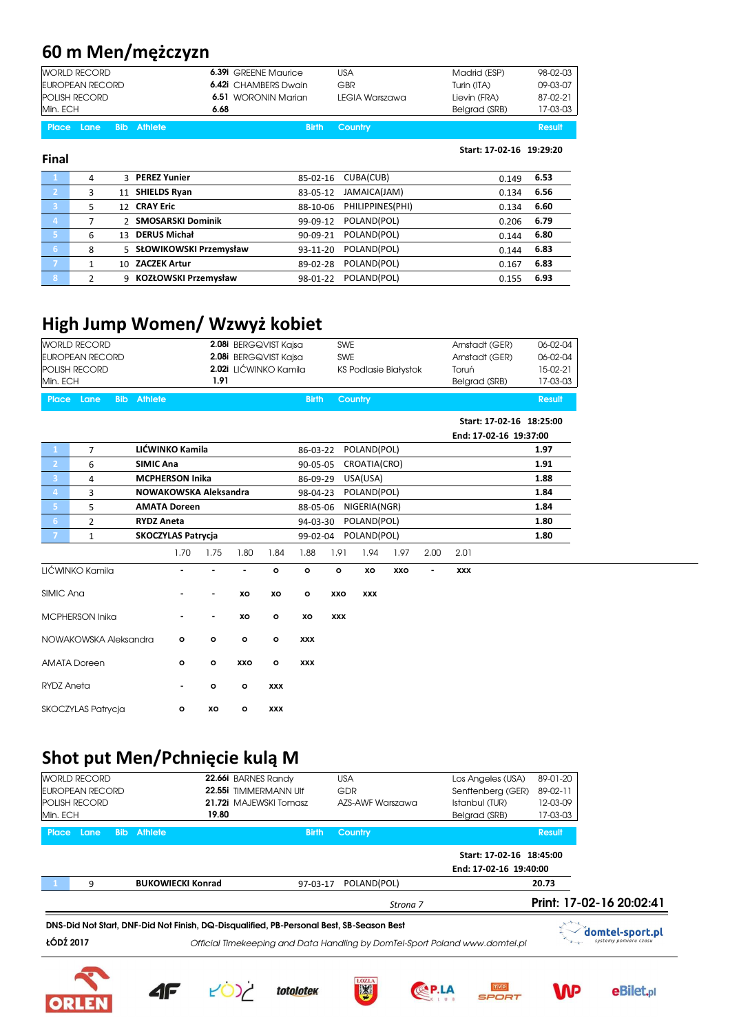# 60 m Men/mężczyzn

| <b>WORLD RECORD</b>    | <b>6.39i</b> GREENE Maurice | USA            | Madrid (ESP)  | 98-02-03 |
|------------------------|-----------------------------|----------------|---------------|----------|
| EUROPEAN RECORD        | <b>6.42i</b> CHAMBERS Dwain | GBR            | Turin (ITA)   | 09-03-07 |
| <b>POLISH RECORD</b>   | 6.51 WORONIN Marian         | LEGIA Warszawa | Lievin (FRA)  | 87-02-21 |
| Min. ECH               | 6.68                        |                | Belarad (SRB) | 17-03-03 |
| Place Lane Bib Athlete | <b>Birth</b>                | Country        |               | Result   |

Start: 17-02-16 19:29:20

| <b>Final</b>   |   |                                     |          |                  |       |      |
|----------------|---|-------------------------------------|----------|------------------|-------|------|
| $\mathbf{1}$   | 4 | 3 PEREZ Yunier                      | 85-02-16 | CUBA(CUB)        | 0.149 | 6.53 |
| יכ             | 3 | 11 SHIELDS Ryan                     | 83-05-12 | JAMAICA(JAM)     | 0.134 | 6.56 |
| 3              | 5 | <b>CRAY Eric</b><br>12 <sub>1</sub> | 88-10-06 | PHILIPPINES(PHI) | 0.134 | 6.60 |
| $\overline{4}$ |   | 2 SMOSARSKI Dominik                 | 99-09-12 | POLAND(POL)      | 0.206 | 6.79 |
| -51            | 6 | <b>DERUS Michał</b><br>13           | 90-09-21 | POLAND(POL)      | 0.144 | 6.80 |
| 6              | 8 | 5 SŁOWIKOWSKI Przemysław            | 93-11-20 | POLAND(POL)      | 0.144 | 6.83 |
| - 7            |   | <b>ZACZEK Artur</b><br>10           | 89-02-28 | POLAND(POL)      | 0.167 | 6.83 |
| 8              |   | KOZŁOWSKI Przemysław<br>q           | 98-01-22 | POLAND(POL)      | 0.155 | 6.93 |

## High Jump Women/ Wzwyż kobiet

| Min. ECH               | <b>WORLD RECORD</b><br><b>EUROPEAN RECORD</b><br>POLISH RECORD |            |                                                      |                        | 1.91         |              | 2.08i BERGQVIST Kajsa<br>2.08i BERGQVIST Kajsa<br>2.02i LIĆWINKO Kamila |              | <b>SWE</b><br><b>SWE</b> |              | <b>KS Podlasie Białystok</b> |      | Arnstadt (GER)<br>Arnstadt (GER)<br>Toruń<br>Belgrad (SRB) | 06-02-04<br>06-02-04<br>15-02-21<br>17-03-03 |
|------------------------|----------------------------------------------------------------|------------|------------------------------------------------------|------------------------|--------------|--------------|-------------------------------------------------------------------------|--------------|--------------------------|--------------|------------------------------|------|------------------------------------------------------------|----------------------------------------------|
| <b>Place</b>           | Lane                                                           | <b>Bib</b> | <b>Athlete</b>                                       |                        |              |              |                                                                         | <b>Birth</b> |                          | Country      |                              |      |                                                            | <b>Result</b>                                |
|                        |                                                                |            |                                                      |                        |              |              |                                                                         |              |                          |              |                              |      | Start: 17-02-16 18:25:00<br>End: 17-02-16 19:37:00         |                                              |
| -1                     | $\overline{7}$                                                 |            |                                                      | LIĆWINKO Kamila        |              |              |                                                                         | 86-03-22     |                          | POLAND(POL)  |                              |      |                                                            | 1.97                                         |
| $\overline{2}$         | 6                                                              |            | <b>SIMIC Ana</b>                                     |                        |              |              |                                                                         | 90-05-05     |                          | CROATIA(CRO) |                              |      |                                                            | 1.91                                         |
| $\overline{3}$         | 4                                                              |            |                                                      | <b>MCPHERSON Inika</b> |              |              |                                                                         | 86-09-29     |                          | USA(USA)     |                              |      |                                                            | 1.88                                         |
| $\overline{4}$         | 3                                                              |            |                                                      | NOWAKOWSKA Aleksandra  |              |              |                                                                         | 98-04-23     |                          | POLAND(POL)  |                              |      |                                                            | 1.84                                         |
| 5                      | 5                                                              |            |                                                      | <b>AMATA Doreen</b>    |              |              |                                                                         | 88-05-06     |                          | NIGERIA(NGR) |                              |      |                                                            | 1.84                                         |
| 6 <sup>1</sup>         | 2                                                              |            | <b>RYDZ Aneta</b>                                    |                        |              |              |                                                                         | 94-03-30     |                          | POLAND(POL)  |                              |      |                                                            | 1.80                                         |
| $\overline{7}$         | $\mathbf{1}$                                                   |            | POLAND(POL)<br><b>SKOCZYLAS Patrycja</b><br>99-02-04 |                        |              |              |                                                                         |              |                          |              |                              | 1.80 |                                                            |                                              |
|                        |                                                                |            |                                                      | 1.70                   | 1.75         | 1.80         | 1.84                                                                    | 1.88         | 1.91                     | 1.94         | 1.97                         | 2.00 | 2.01                                                       |                                              |
| LIĆWINKO Kamila        |                                                                |            |                                                      |                        |              |              | $\circ$                                                                 | $\circ$      | $\circ$                  | xo           | XXO                          |      | <b>XXX</b>                                                 |                                              |
| SIMIC Ana              |                                                                |            |                                                      |                        |              | XO           | XO                                                                      | $\mathbf{o}$ | XXO                      | <b>XXX</b>   |                              |      |                                                            |                                              |
| <b>MCPHERSON Inika</b> |                                                                |            |                                                      |                        | ۰            | XO           | $\mathbf{o}$                                                            | XO           | <b>XXX</b>               |              |                              |      |                                                            |                                              |
| NOWAKOWSKA Aleksandra  |                                                                |            |                                                      | $\circ$                | $\mathbf{o}$ | $\mathbf{o}$ | $\circ$                                                                 | <b>XXX</b>   |                          |              |                              |      |                                                            |                                              |
| <b>AMATA Doreen</b>    |                                                                |            |                                                      | o                      | $\mathbf{o}$ | XXO          | $\mathbf{o}$                                                            | <b>XXX</b>   |                          |              |                              |      |                                                            |                                              |
| <b>RYDZ Aneta</b>      |                                                                |            |                                                      | ٠                      | $\mathbf{o}$ | $\mathbf{o}$ | <b>XXX</b>                                                              |              |                          |              |                              |      |                                                            |                                              |
| SKOCZYLAS Patrycja     |                                                                |            |                                                      | o                      | XO           | $\circ$      | <b>XXX</b>                                                              |              |                          |              |                              |      |                                                            |                                              |

### Shot put Men/Pchnięcie kulą M

|            |                        |                          |              | Strona 7         |                          |          | Print: 17-02-16 20:02:41 |
|------------|------------------------|--------------------------|--------------|------------------|--------------------------|----------|--------------------------|
|            | q                      | <b>BUKOWIECKI Konrad</b> | 97-03-17     | POLAND(POL)      |                          | 20.73    |                          |
|            |                        |                          |              |                  | End: 17-02-16 19:40:00   |          |                          |
|            |                        |                          |              |                  | Start: 17-02-16 18:45:00 |          |                          |
| Place Lane |                        | <b>Bib</b> Athlete       | <b>Birth</b> | <b>Country</b>   |                          | Result   |                          |
| Min. ECH   |                        | 19.80                    |              |                  | Belgrad (SRB)            | 17-03-03 |                          |
|            | <b>POLISH RECORD</b>   | 21.72i MAJEWSKI Tomasz   |              | AZS-AWF Warszawa | Istanbul (TUR)           | 12-03-09 |                          |
|            | <b>EUROPEAN RECORD</b> | 22.55i TIMMERMANN Ulf    |              | GDR              | Senftenberg (GER)        | 89-02-11 |                          |
|            | <b>WORLD RECORD</b>    | 22.66i BARNES Randy      |              | <b>USA</b>       | Los Angeles (USA)        | 89-01-20 |                          |

DNS-Did Not Start, DNF-Did Not Finish, DQ-Disqualified, PB-Personal Best, SB-Season Best

ŁÓDŹ 2017 Official Timekeeping and Data Handling by DomTel-Sport Poland www.domtel.pl













domtel-sport.pl syst

**eBilet**,pl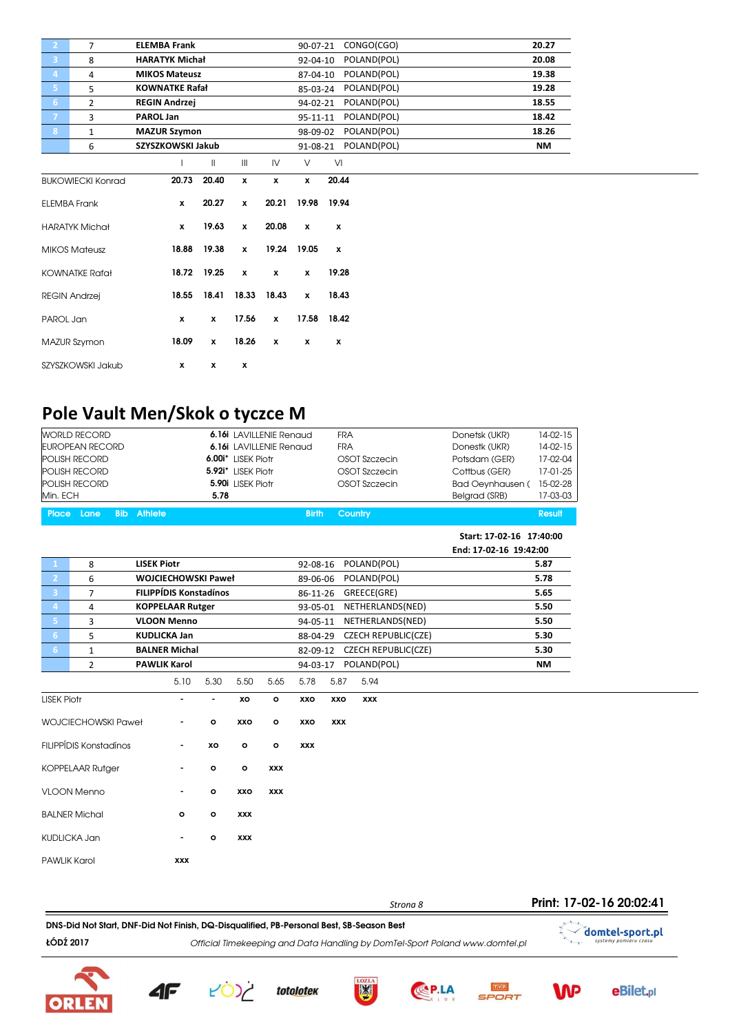| 2 <sup>1</sup>  | 7                        | <b>ELEMBA Frank</b>   |               |                           |              | 90-07-21     | CONGO(CGO)  |  | 20.27     |  |
|-----------------|--------------------------|-----------------------|---------------|---------------------------|--------------|--------------|-------------|--|-----------|--|
| 3 <sup>°</sup>  | 8                        | <b>HARATYK Michał</b> |               |                           |              | 92-04-10     | POLAND(POL) |  | 20.08     |  |
| $\vert 4 \vert$ | 4                        | <b>MIKOS Mateusz</b>  |               |                           |              | 87-04-10     | POLAND(POL) |  | 19.38     |  |
| 5 <sub>1</sub>  | 5                        | <b>KOWNATKE Rafał</b> |               |                           |              | 85-03-24     | POLAND(POL) |  | 19.28     |  |
| 6 <sup>1</sup>  | $\overline{2}$           | <b>REGIN Andrzej</b>  |               |                           |              | 94-02-21     | POLAND(POL) |  | 18.55     |  |
| $\mathbf{7}$    | 3                        | PAROL Jan             |               |                           |              | 95-11-11     | POLAND(POL) |  | 18.42     |  |
| 8               | $\mathbf{1}$             | <b>MAZUR Szymon</b>   |               |                           |              | 98-09-02     | POLAND(POL) |  | 18.26     |  |
|                 | 6                        | SZYSZKOWSKI Jakub     |               |                           |              | 91-08-21     | POLAND(POL) |  | <b>NM</b> |  |
|                 |                          |                       | $\mathbf{  }$ | $\mathbf{III}$            | IV           | V            | VI          |  |           |  |
|                 | <b>BUKOWIECKI Konrad</b> | 20.73                 | 20.40         | $\pmb{\chi}$              | $\mathbf{x}$ | $\mathbf{x}$ | 20.44       |  |           |  |
|                 | <b>ELEMBA Frank</b>      | $\mathbf{x}$          | 20.27         | x                         | 20.21        | 19.98        | 19.94       |  |           |  |
|                 | <b>HARATYK Michał</b>    | x                     | 19.63         | $\pmb{\chi}$              | 20.08        | $\pmb{\chi}$ | x           |  |           |  |
|                 | <b>MIKOS Mateusz</b>     | 18.88                 | 19.38         | x                         | 19.24        | 19.05        | x           |  |           |  |
|                 | <b>KOWNATKE Rafał</b>    |                       | 18.72 19.25   | $\boldsymbol{\mathsf{x}}$ | $\pmb{\chi}$ | x            | 19.28       |  |           |  |
|                 | <b>REGIN Andrzej</b>     | 18.55                 |               | 18.41 18.33               | 18.43        | $\pmb{\chi}$ | 18.43       |  |           |  |
| PAROL Jan       |                          | $\boldsymbol{x}$      | $\pmb{\chi}$  | 17.56                     | $\mathbf{x}$ | 17.58        | 18.42       |  |           |  |
|                 | MAZUR Szymon             | 18.09                 | $\pmb{\chi}$  | 18.26                     | $\mathbf{x}$ | x            | x           |  |           |  |
|                 | SZYSZKOWSKI Jakub        | $\mathbf{x}$          | x             | x                         |              |              |             |  |           |  |

## Pole Vault Men/Skok o tyczce M

|                     | <b>WORLD RECORD</b>           |            |                    |                               |              |                    | 6.16i LAVILLENIE Renaud |              | <b>FRA</b> |                            | Donetsk (UKR)            | 14-02-15      |
|---------------------|-------------------------------|------------|--------------------|-------------------------------|--------------|--------------------|-------------------------|--------------|------------|----------------------------|--------------------------|---------------|
|                     | <b>EUROPEAN RECORD</b>        |            |                    |                               |              |                    | 6.16i LAVILLENIE Renaud |              | <b>FRA</b> |                            | Donestk (UKR)            | 14-02-15      |
|                     | POLISH RECORD                 |            |                    |                               |              | 6.00i* LISEK Piotr |                         |              |            | OSOT Szczecin              | Potsdam (GER)            | 17-02-04      |
|                     | POLISH RECORD                 |            |                    |                               |              | 5.92i* LISEK Piotr |                         |              |            | OSOT Szczecin              | Cottbus (GER)            | 17-01-25      |
|                     | POLISH RECORD                 |            |                    |                               |              | 5.90i LISEK Piotr  |                         |              |            | OSOT Szczecin              | <b>Bad Oeynhausen (</b>  | 15-02-28      |
| Min. ECH            |                               |            |                    |                               | 5.78         |                    |                         |              |            |                            | Belgrad (SRB)            | 17-03-03      |
| Place               | Lane                          | <b>Bib</b> | <b>Athlete</b>     |                               |              |                    |                         | <b>Birth</b> |            | <b>Country</b>             |                          | <b>Result</b> |
|                     |                               |            |                    |                               |              |                    |                         |              |            |                            | Start: 17-02-16 17:40:00 |               |
|                     |                               |            |                    |                               |              |                    |                         |              |            |                            | End: 17-02-16 19:42:00   |               |
| -1                  | 8                             |            | <b>LISEK Piotr</b> |                               |              |                    |                         | 92-08-16     |            | POLAND(POL)                |                          | 5.87          |
| $\overline{2}$      | 6                             |            |                    | <b>WOJCIECHOWSKI Paweł</b>    |              |                    |                         | 89-06-06     |            | POLAND(POL)                |                          | 5.78          |
| 3                   | 7                             |            |                    | <b>FILIPPÍDIS Konstadínos</b> |              |                    |                         | 86-11-26     |            | GREECE(GRE)                |                          | 5.65          |
| $\overline{4}$      | 4                             |            |                    | <b>KOPPELAAR Rutger</b>       |              |                    |                         | 93-05-01     |            | NETHERLANDS(NED)           |                          | 5.50          |
| 5                   | 3                             |            |                    | <b>VLOON Menno</b>            |              |                    |                         | 94-05-11     |            | NETHERLANDS(NED)           |                          | 5.50          |
| 6 <sup>1</sup>      | 5                             |            |                    | <b>KUDLICKA Jan</b>           |              |                    |                         | 88-04-29     |            | <b>CZECH REPUBLIC(CZE)</b> |                          | 5.30          |
| 6 <sup>1</sup>      | $\mathbf{1}$                  |            |                    | <b>BALNER Michal</b>          |              |                    |                         | 82-09-12     |            | <b>CZECH REPUBLIC(CZE)</b> |                          | 5.30          |
|                     | $\overline{2}$                |            |                    | <b>PAWLIK Karol</b>           |              |                    |                         | 94-03-17     |            | POLAND(POL)                |                          | <b>NM</b>     |
|                     |                               |            |                    | 5.10                          | 5.30         | 5.50               | 5.65                    | 5.78         | 5.87       | 5.94                       |                          |               |
| <b>LISEK Piotr</b>  |                               |            |                    | $\blacksquare$                | L.           | XO                 | o                       | XXO          | XXO        | <b>XXX</b>                 |                          |               |
|                     | WOJCIECHOWSKI Paweł           |            |                    |                               | $\circ$      | XXO                | o                       | XXO          | <b>XXX</b> |                            |                          |               |
|                     | <b>FILIPPÍDIS Konstadínos</b> |            |                    |                               | XO           | $\mathbf{o}$       | o                       | <b>XXX</b>   |            |                            |                          |               |
|                     | <b>KOPPELAAR Rutger</b>       |            |                    |                               | $\mathbf{o}$ | $\mathbf{o}$       | <b>XXX</b>              |              |            |                            |                          |               |
|                     | <b>VLOON Menno</b>            |            |                    |                               | $\mathbf{o}$ | XXO                | <b>XXX</b>              |              |            |                            |                          |               |
|                     | <b>BALNER Michal</b>          |            |                    | $\mathbf{o}$                  | $\mathbf{o}$ | XXX                |                         |              |            |                            |                          |               |
| <b>KUDLICKA Jan</b> |                               |            |                    |                               | $\mathbf{o}$ | XXX                |                         |              |            |                            |                          |               |
| <b>PAWLIK Karol</b> |                               |            |                    | XXX                           |              |                    |                         |              |            |                            |                          |               |

ŁÓDŹ 2017 Official Timekeeping and Data Handling by DomTel-Sport Poland www.domtel.pl DNS-Did Not Start, DNF-Did Not Finish, DQ-Disqualified, PB-Personal Best, SB-Season Best



 $T_{\rm{max}}$ 





toto<u>lote</u>k



Strona 8